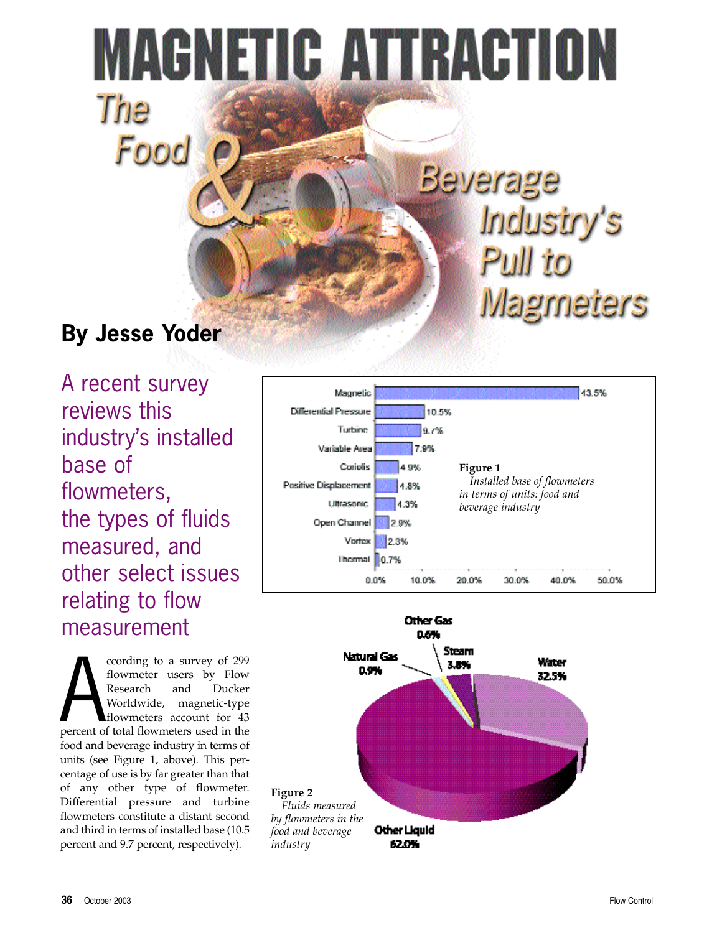# MAGNETIC ATTRACTION The

# **By Jesse Yoder**

Food

A recent survey reviews this industry's installed base of flowmeters, the types of fluids measured, and other select issues relating to flow measurement

cording to a survey of 299<br>flowmeter users by Flow<br>Research and Ducker<br>Worldwide, magnetic-type<br>flowmeters account for 43<br>percent of total flowmeters used in the ccording to a survey of 299 flowmeter users by Flow Research and Ducker Worldwide, magnetic-type flowmeters account for 43 food and beverage industry in terms of units (see Figure 1, above). This percentage of use is by far greater than that of any other type of flowmeter. Differential pressure and turbine flowmeters constitute a distant second and third in terms of installed base (10.5 percent and 9.7 percent, respectively).



Beverage

Industry's

**Magmeters** 

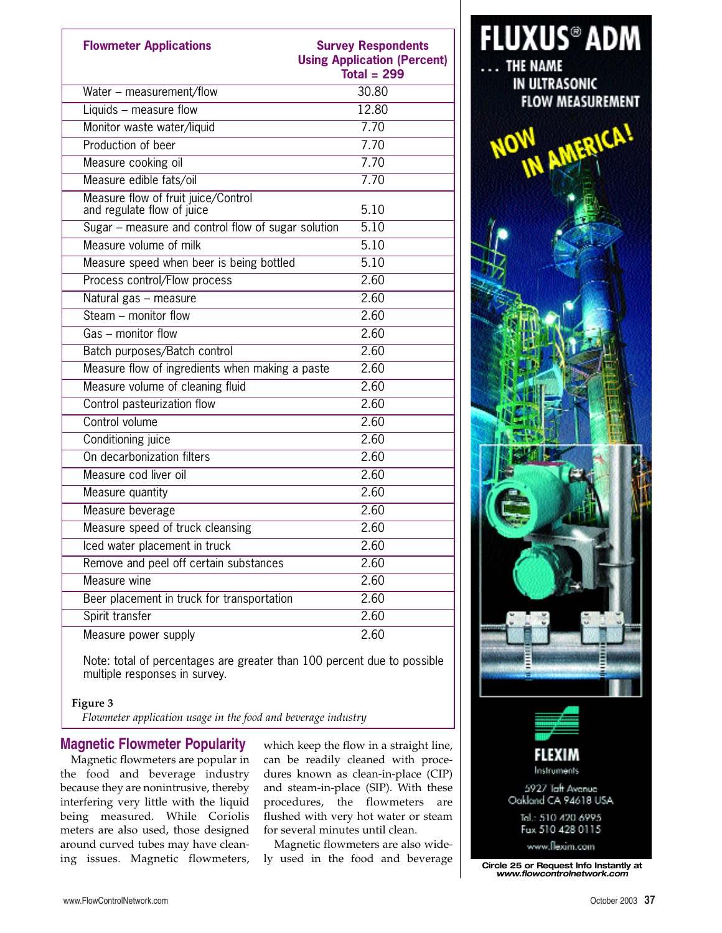| <b>Flowmeter Applications</b>                                     | <b>Survey Respondents</b><br><b>Using Application (Percent)</b><br>Total = $299$ |
|-------------------------------------------------------------------|----------------------------------------------------------------------------------|
| Water - measurement/flow                                          | 30.80                                                                            |
| Liquids - measure flow                                            | 12.80                                                                            |
| Monitor waste water/liquid                                        | 7.70                                                                             |
| Production of beer                                                | 7.70                                                                             |
| Measure cooking oil                                               | 7.70                                                                             |
| Measure edible fats/oil                                           | 7.70                                                                             |
| Measure flow of fruit juice/Control<br>and regulate flow of juice | 5.10                                                                             |
| Sugar - measure and control flow of sugar solution                | 5.10                                                                             |
| Measure volume of milk                                            | 5.10                                                                             |
| Measure speed when beer is being bottled                          | 5.10                                                                             |
| Process control/Flow process                                      | 2.60                                                                             |
| Natural gas - measure                                             | 2.60                                                                             |
| Steam $-$ monitor flow                                            | 2.60                                                                             |
| Gas - monitor flow                                                | 2.60                                                                             |
| Batch purposes/Batch control                                      | 2.60                                                                             |
| Measure flow of ingredients when making a paste                   | 2.60                                                                             |
| Measure volume of cleaning fluid                                  | 2.60                                                                             |
| Control pasteurization flow                                       | 2.60                                                                             |
| Control volume                                                    | 2.60                                                                             |
| Conditioning juice                                                | 2.60                                                                             |
| On decarbonization filters                                        | 2.60                                                                             |
| Measure cod liver oil                                             | 2.60                                                                             |
| Measure quantity                                                  | 2.60                                                                             |
| Measure beverage                                                  | 2.60                                                                             |
| Measure speed of truck cleansing                                  | 2.60                                                                             |
| Iced water placement in truck                                     | 2.60                                                                             |
| Remove and peel off certain substances                            | 2.60                                                                             |
| Measure wine                                                      | 2.60                                                                             |
| Beer placement in truck for transportation                        | 2.60                                                                             |
| Spirit transfer                                                   | 2.60                                                                             |
| Measure power supply                                              | 2.60                                                                             |

Note: total of percentages are greater than 100 percent due to possible multiple responses in survey.

#### **Figure 3**

*Flowmeter application usage in the food and beverage industry*

### **Magnetic Flowmeter Popularity**

Magnetic flowmeters are popular in the food and beverage industry because they are nonintrusive, thereby interfering very little with the liquid being measured. While Coriolis meters are also used, those designed around curved tubes may have cleaning issues. Magnetic flowmeters,

which keep the flow in a straight line, can be readily cleaned with procedures known as clean-in-place (CIP) and steam-in-place (SIP). With these procedures, the flowmeters are flushed with very hot water or steam for several minutes until clean.

Magnetic flowmeters are also wide-



ly used in the food and beverage **Circle 25 or Request Info Instantly at** *www.flowcontrolnetwork.com*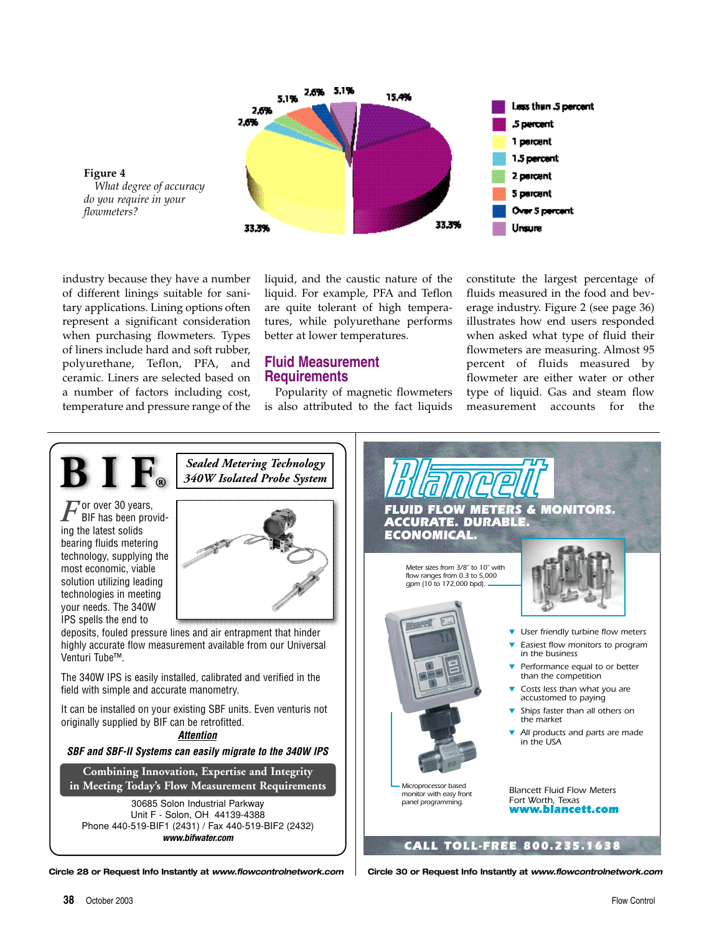

**Figure 4** *What degree of accuracy do you require in your flowmeters?*

industry because they have a number of different linings suitable for sanitary applications. Lining options often represent a significant consideration when purchasing flowmeters. Types of liners include hard and soft rubber, polyurethane, Teflon, PFA, and ceramic. Liners are selected based on a number of factors including cost, temperature and pressure range of the

liquid, and the caustic nature of the liquid. For example, PFA and Teflon are quite tolerant of high temperatures, while polyurethane performs better at lower temperatures.

#### **Fluid Measurement Requirements**

Popularity of magnetic flowmeters is also attributed to the fact liquids constitute the largest percentage of fluids measured in the food and beverage industry. Figure 2 (see page 36) illustrates how end users responded when asked what type of fluid their flowmeters are measuring. Almost 95 percent of fluids measured by flowmeter are either water or other type of liquid. Gas and steam flow measurement accounts for the



**Circle 28 or Request Info Instantly at** *www.flowcontrolnetwork.com* **Circle 30 or Request Info Instantly at** *www.flowcontrolnetwork.com*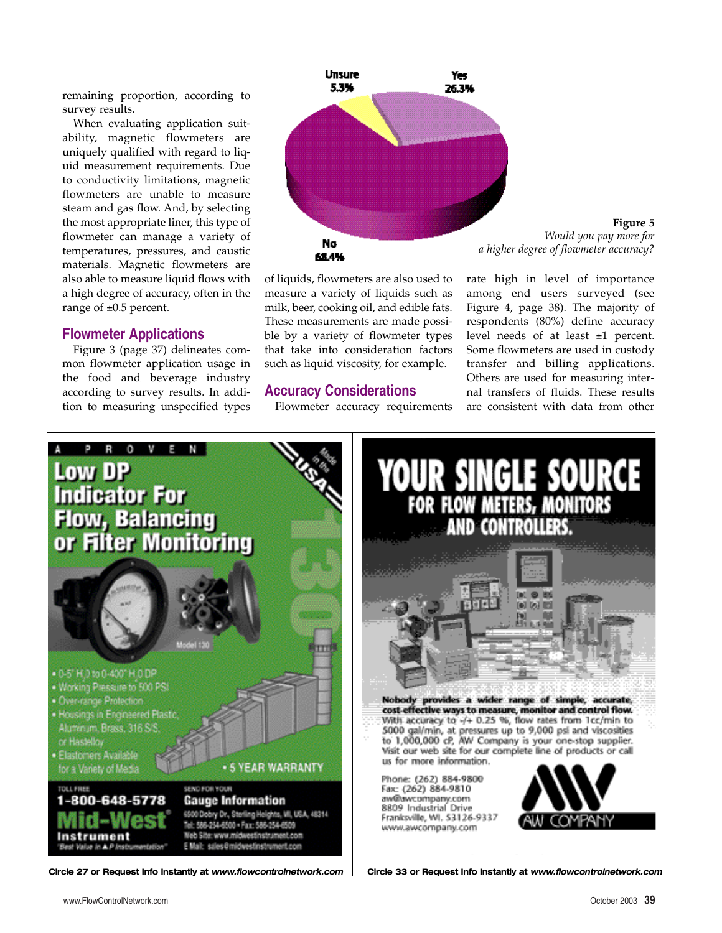remaining proportion, according to survey results.

When evaluating application suitability, magnetic flowmeters are uniquely qualified with regard to liquid measurement requirements. Due to conductivity limitations, magnetic flowmeters are unable to measure steam and gas flow. And, by selecting the most appropriate liner, this type of flowmeter can manage a variety of temperatures, pressures, and caustic materials. Magnetic flowmeters are also able to measure liquid flows with a high degree of accuracy, often in the range of  $\pm 0.5$  percent.

#### **Flowmeter Applications**

Figure 3 (page 37) delineates common flowmeter application usage in the food and beverage industry according to survey results. In addition to measuring unspecified types



of liquids, flowmeters are also used to measure a variety of liquids such as milk, beer, cooking oil, and edible fats. These measurements are made possible by a variety of flowmeter types that take into consideration factors such as liquid viscosity, for example.

#### **Accuracy Considerations**

Flowmeter accuracy requirements

**Figure 5** *Would you pay more for a higher degree of flowmeter accuracy?*

rate high in level of importance among end users surveyed (see Figure 4, page 38). The majority of respondents (80%) define accuracy level needs of at least ±1 percent. Some flowmeters are used in custody transfer and billing applications. Others are used for measuring internal transfers of fluids. These results are consistent with data from other

SINGLE SOURC





**Circle 27 or Request Info Instantly at** *www.flowcontrolnetwork.com* **Circle 33 or Request Info Instantly at** *www.flowcontrolnetwork.com*